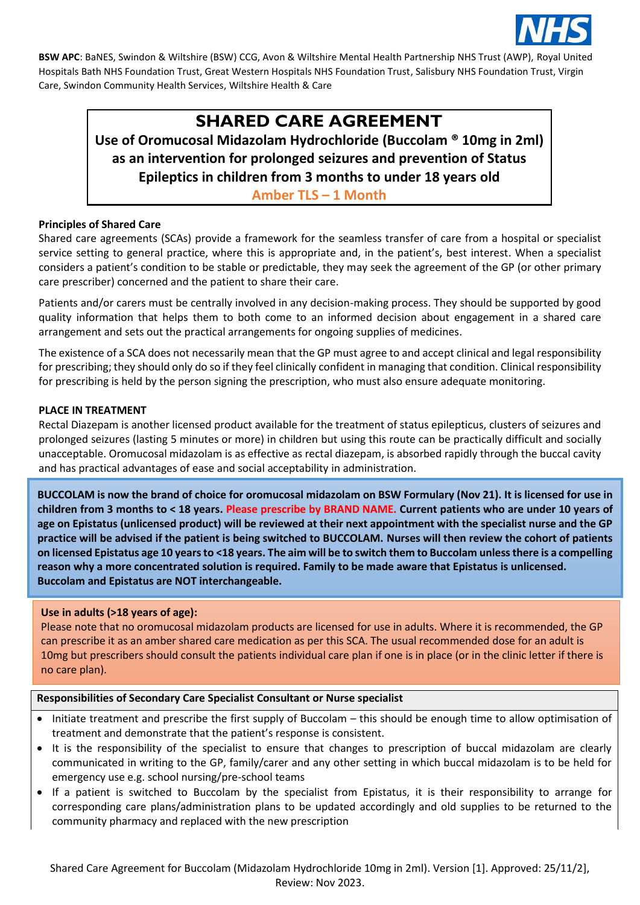

# **SHARED CARE AGREEMENT**

**Use of Oromucosal Midazolam Hydrochloride (Buccolam ® 10mg in 2ml) as an intervention for prolonged seizures and prevention of Status Epileptics in children from 3 months to under 18 years old Amber TLS – 1 Month**

### **Principles of Shared Care**

Shared care agreements (SCAs) provide a framework for the seamless transfer of care from a hospital or specialist service setting to general practice, where this is appropriate and, in the patient's, best interest. When a specialist considers a patient's condition to be stable or predictable, they may seek the agreement of the GP (or other primary care prescriber) concerned and the patient to share their care.

Patients and/or carers must be centrally involved in any decision-making process. They should be supported by good quality information that helps them to both come to an informed decision about engagement in a shared care arrangement and sets out the practical arrangements for ongoing supplies of medicines.

The existence of a SCA does not necessarily mean that the GP must agree to and accept clinical and legal responsibility for prescribing; they should only do so if they feel clinically confident in managing that condition. Clinical responsibility for prescribing is held by the person signing the prescription, who must also ensure adequate monitoring.

#### **PLACE IN TREATMENT**

Rectal Diazepam is another licensed product available for the treatment of status epilepticus, clusters of seizures and prolonged seizures (lasting 5 minutes or more) in children but using this route can be practically difficult and socially unacceptable. Oromucosal midazolam is as effective as rectal diazepam, is absorbed rapidly through the buccal cavity and has practical advantages of ease and social acceptability in administration.

**BUCCOLAM is now the brand of choice for oromucosal midazolam on BSW Formulary (Nov 21). It is licensed for use in children from 3 months to < 18 years. Please prescribe by BRAND NAME. Current patients who are under 10 years of age on Epistatus (unlicensed product) will be reviewed at their next appointment with the specialist nurse and the GP practice will be advised if the patient is being switched to BUCCOLAM. Nurses will then review the cohort of patients on licensed Epistatus age 10 years to <18 years. The aim will be to switch them to Buccolam unless there is a compelling reason why a more concentrated solution is required. Family to be made aware that Epistatus is unlicensed. Buccolam and Epistatus are NOT interchangeable.**

#### **Use in adults (>18 years of age):**

.

Please note that no oromucosal midazolam products are licensed for use in adults. Where it is recommended, the GP can prescribe it as an amber shared care medication as per this SCA. The usual recommended dose for an adult is 10mg but prescribers should consult the patients individual care plan if one is in place (or in the clinic letter if there is no care plan).

#### **Responsibilities of Secondary Care Specialist Consultant or Nurse specialist**

- Initiate treatment and prescribe the first supply of Buccolam this should be enough time to allow optimisation of treatment and demonstrate that the patient's response is consistent.
- It is the responsibility of the specialist to ensure that changes to prescription of buccal midazolam are clearly communicated in writing to the GP, family/carer and any other setting in which buccal midazolam is to be held for emergency use e.g. school nursing/pre-school teams
- If a patient is switched to Buccolam by the specialist from Epistatus, it is their responsibility to arrange for corresponding care plans/administration plans to be updated accordingly and old supplies to be returned to the community pharmacy and replaced with the new prescription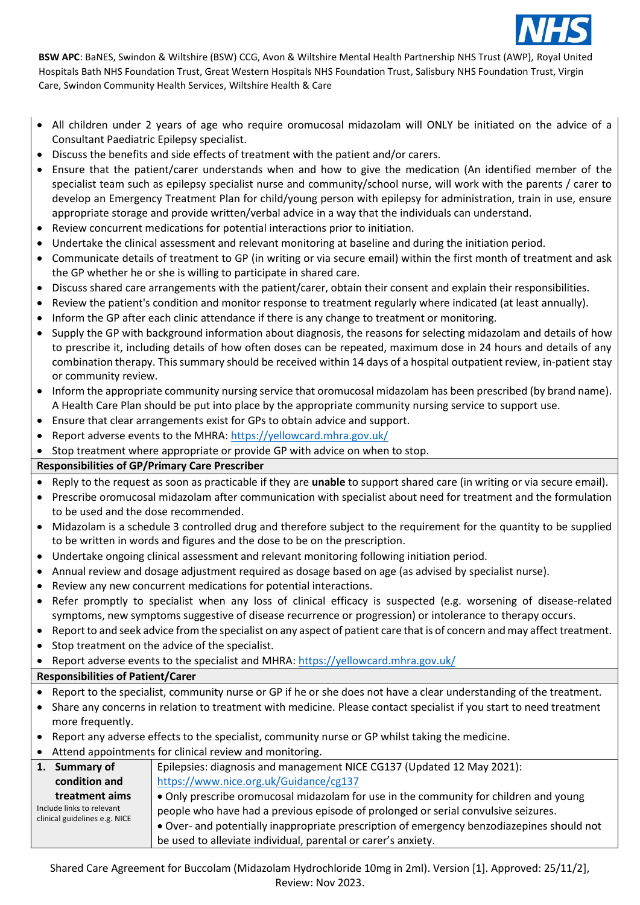

- All children under 2 years of age who require oromucosal midazolam will ONLY be initiated on the advice of a Consultant Paediatric Epilepsy specialist.
- Discuss the benefits and side effects of treatment with the patient and/or carers.
- Ensure that the patient/carer understands when and how to give the medication (An identified member of the specialist team such as epilepsy specialist nurse and community/school nurse, will work with the parents / carer to develop an Emergency Treatment Plan for child/young person with epilepsy for administration, train in use, ensure appropriate storage and provide written/verbal advice in a way that the individuals can understand.
- Review concurrent medications for potential interactions prior to initiation.
- Undertake the clinical assessment and relevant monitoring at baseline and during the initiation period.
- Communicate details of treatment to GP (in writing or via secure email) within the first month of treatment and ask the GP whether he or she is willing to participate in shared care.
- Discuss shared care arrangements with the patient/carer, obtain their consent and explain their responsibilities.
- Review the patient's condition and monitor response to treatment regularly where indicated (at least annually).
- Inform the GP after each clinic attendance if there is any change to treatment or monitoring.
- Supply the GP with background information about diagnosis, the reasons for selecting midazolam and details of how to prescribe it, including details of how often doses can be repeated, maximum dose in 24 hours and details of any combination therapy. Thissummary should be received within 14 days of a hospital outpatient review, in-patient stay or community review.
- Inform the appropriate community nursing service that oromucosal midazolam has been prescribed (by brand name). A Health Care Plan should be put into place by the appropriate community nursing service to support use.
- Ensure that clear arrangements exist for GPs to obtain advice and support.
- Report adverse events to the MHRA: <https://yellowcard.mhra.gov.uk/>

• Stop treatment where appropriate or provide GP with advice on when to stop.

## **Responsibilities of GP/Primary Care Prescriber**

• Reply to the request as soon as practicable if they are **unable** to support shared care (in writing or via secure email).

- Prescribe oromucosal midazolam after communication with specialist about need for treatment and the formulation to be used and the dose recommended.
- Midazolam is a schedule 3 controlled drug and therefore subject to the requirement for the quantity to be supplied to be written in words and figures and the dose to be on the prescription.
- Undertake ongoing clinical assessment and relevant monitoring following initiation period.
- Annual review and dosage adjustment required as dosage based on age (as advised by specialist nurse).
- Review any new concurrent medications for potential interactions.
- Refer promptly to specialist when any loss of clinical efficacy is suspected (e.g. worsening of disease-related symptoms, new symptoms suggestive of disease recurrence or progression) or intolerance to therapy occurs.
- Report to and seek advice from the specialist on any aspect of patient care that is of concern and may affect treatment.
- Stop treatment on the advice of the specialist.

• Report adverse events to the specialist and MHRA[: https://yellowcard.mhra.gov.uk/](https://yellowcard.mhra.gov.uk/)

## **Responsibilities of Patient/Carer**

- Report to the specialist, community nurse or GP if he or she does not have a clear understanding of the treatment.
- Share any concerns in relation to treatment with medicine. Please contact specialist if you start to need treatment more frequently.
- Report any adverse effects to the specialist, community nurse or GP whilst taking the medicine.
- Attend appointments for clinical review and monitoring.

| 1. Summary of                                              | Epilepsies: diagnosis and management NICE CG137 (Updated 12 May 2021):                     |
|------------------------------------------------------------|--------------------------------------------------------------------------------------------|
| condition and                                              | https://www.nice.org.uk/Guidance/cg137                                                     |
| treatment aims                                             | • Only prescribe oromucosal midazolam for use in the community for children and young      |
| Include links to relevant<br>clinical guidelines e.g. NICE | people who have had a previous episode of prolonged or serial convulsive seizures.         |
|                                                            | • Over- and potentially inappropriate prescription of emergency benzodiazepines should not |
|                                                            | be used to alleviate individual, parental or carer's anxiety.                              |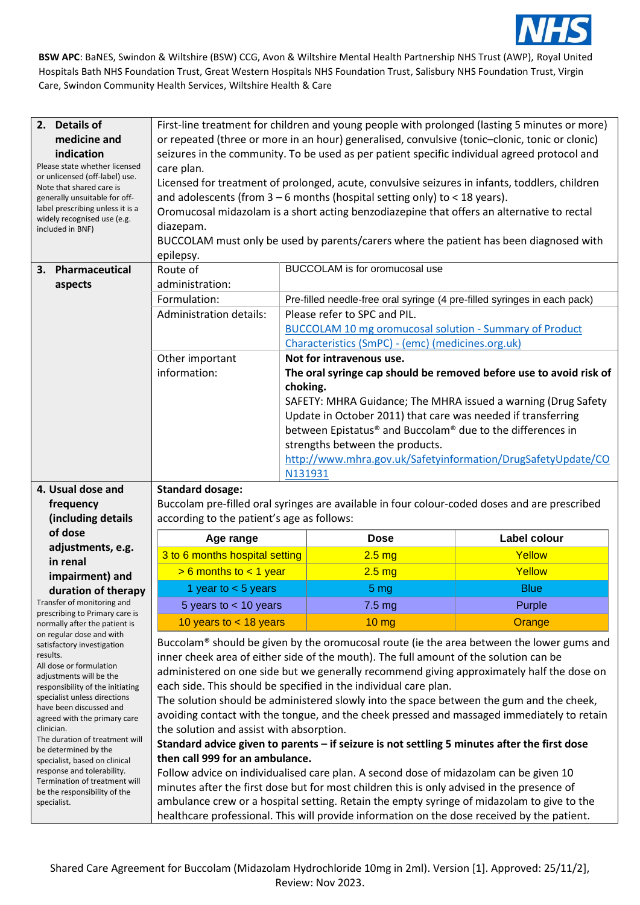

| 2. Details of<br>medicine and<br>indication<br>Please state whether licensed<br>or unlicensed (off-label) use.<br>Note that shared care is<br>generally unsuitable for off-<br>label prescribing unless it is a<br>widely recognised use (e.g.<br>included in BNF) | First-line treatment for children and young people with prolonged (lasting 5 minutes or more)<br>or repeated (three or more in an hour) generalised, convulsive (tonic-clonic, tonic or clonic)<br>seizures in the community. To be used as per patient specific individual agreed protocol and<br>care plan.<br>Licensed for treatment of prolonged, acute, convulsive seizures in infants, toddlers, children<br>and adolescents (from $3 - 6$ months (hospital setting only) to < 18 years).<br>Oromucosal midazolam is a short acting benzodiazepine that offers an alternative to rectal<br>diazepam.<br>BUCCOLAM must only be used by parents/carers where the patient has been diagnosed with<br>epilepsy. |          |                                                                                                                            |                                                                                           |
|--------------------------------------------------------------------------------------------------------------------------------------------------------------------------------------------------------------------------------------------------------------------|-------------------------------------------------------------------------------------------------------------------------------------------------------------------------------------------------------------------------------------------------------------------------------------------------------------------------------------------------------------------------------------------------------------------------------------------------------------------------------------------------------------------------------------------------------------------------------------------------------------------------------------------------------------------------------------------------------------------|----------|----------------------------------------------------------------------------------------------------------------------------|-------------------------------------------------------------------------------------------|
|                                                                                                                                                                                                                                                                    | Route of                                                                                                                                                                                                                                                                                                                                                                                                                                                                                                                                                                                                                                                                                                          |          | BUCCOLAM is for oromucosal use                                                                                             |                                                                                           |
| Pharmaceutical<br>3.                                                                                                                                                                                                                                               |                                                                                                                                                                                                                                                                                                                                                                                                                                                                                                                                                                                                                                                                                                                   |          |                                                                                                                            |                                                                                           |
| aspects                                                                                                                                                                                                                                                            | administration:                                                                                                                                                                                                                                                                                                                                                                                                                                                                                                                                                                                                                                                                                                   |          |                                                                                                                            |                                                                                           |
|                                                                                                                                                                                                                                                                    | Formulation:                                                                                                                                                                                                                                                                                                                                                                                                                                                                                                                                                                                                                                                                                                      |          | Pre-filled needle-free oral syringe (4 pre-filled syringes in each pack)                                                   |                                                                                           |
|                                                                                                                                                                                                                                                                    | <b>Administration details:</b>                                                                                                                                                                                                                                                                                                                                                                                                                                                                                                                                                                                                                                                                                    |          | Please refer to SPC and PIL.                                                                                               |                                                                                           |
|                                                                                                                                                                                                                                                                    |                                                                                                                                                                                                                                                                                                                                                                                                                                                                                                                                                                                                                                                                                                                   |          | <b>BUCCOLAM 10 mg oromucosal solution - Summary of Product</b>                                                             |                                                                                           |
|                                                                                                                                                                                                                                                                    |                                                                                                                                                                                                                                                                                                                                                                                                                                                                                                                                                                                                                                                                                                                   |          | Characteristics (SmPC) - (emc) (medicines.org.uk)<br>Not for intravenous use.                                              |                                                                                           |
|                                                                                                                                                                                                                                                                    | Other important<br>information:                                                                                                                                                                                                                                                                                                                                                                                                                                                                                                                                                                                                                                                                                   |          |                                                                                                                            |                                                                                           |
|                                                                                                                                                                                                                                                                    |                                                                                                                                                                                                                                                                                                                                                                                                                                                                                                                                                                                                                                                                                                                   |          |                                                                                                                            | The oral syringe cap should be removed before use to avoid risk of                        |
|                                                                                                                                                                                                                                                                    |                                                                                                                                                                                                                                                                                                                                                                                                                                                                                                                                                                                                                                                                                                                   | choking. |                                                                                                                            |                                                                                           |
|                                                                                                                                                                                                                                                                    |                                                                                                                                                                                                                                                                                                                                                                                                                                                                                                                                                                                                                                                                                                                   |          |                                                                                                                            | SAFETY: MHRA Guidance; The MHRA issued a warning (Drug Safety                             |
|                                                                                                                                                                                                                                                                    |                                                                                                                                                                                                                                                                                                                                                                                                                                                                                                                                                                                                                                                                                                                   |          | Update in October 2011) that care was needed if transferring<br>between Epistatus® and Buccolam® due to the differences in |                                                                                           |
|                                                                                                                                                                                                                                                                    |                                                                                                                                                                                                                                                                                                                                                                                                                                                                                                                                                                                                                                                                                                                   |          | strengths between the products.                                                                                            |                                                                                           |
|                                                                                                                                                                                                                                                                    |                                                                                                                                                                                                                                                                                                                                                                                                                                                                                                                                                                                                                                                                                                                   |          |                                                                                                                            | http://www.mhra.gov.uk/Safetyinformation/DrugSafetyUpdate/CO                              |
|                                                                                                                                                                                                                                                                    |                                                                                                                                                                                                                                                                                                                                                                                                                                                                                                                                                                                                                                                                                                                   | N131931  |                                                                                                                            |                                                                                           |
| 4. Usual dose and                                                                                                                                                                                                                                                  |                                                                                                                                                                                                                                                                                                                                                                                                                                                                                                                                                                                                                                                                                                                   |          |                                                                                                                            |                                                                                           |
|                                                                                                                                                                                                                                                                    | <b>Standard dosage:</b>                                                                                                                                                                                                                                                                                                                                                                                                                                                                                                                                                                                                                                                                                           |          |                                                                                                                            |                                                                                           |
| frequency                                                                                                                                                                                                                                                          |                                                                                                                                                                                                                                                                                                                                                                                                                                                                                                                                                                                                                                                                                                                   |          | Buccolam pre-filled oral syringes are available in four colour-coded doses and are prescribed                              |                                                                                           |
| (including details<br>of dose                                                                                                                                                                                                                                      | according to the patient's age as follows:                                                                                                                                                                                                                                                                                                                                                                                                                                                                                                                                                                                                                                                                        |          |                                                                                                                            |                                                                                           |
| adjustments, e.g.                                                                                                                                                                                                                                                  | Age range                                                                                                                                                                                                                                                                                                                                                                                                                                                                                                                                                                                                                                                                                                         |          | <b>Dose</b>                                                                                                                | Label colour                                                                              |
| in renal                                                                                                                                                                                                                                                           | 3 to 6 months hospital setting                                                                                                                                                                                                                                                                                                                                                                                                                                                                                                                                                                                                                                                                                    |          | 2.5 <sub>mg</sub>                                                                                                          | Yellow                                                                                    |
| impairment) and                                                                                                                                                                                                                                                    | $> 6$ months to $< 1$ year                                                                                                                                                                                                                                                                                                                                                                                                                                                                                                                                                                                                                                                                                        |          | 2.5 <sub>mg</sub>                                                                                                          | Yellow                                                                                    |
| duration of therapy                                                                                                                                                                                                                                                | 1 year to $<$ 5 years                                                                                                                                                                                                                                                                                                                                                                                                                                                                                                                                                                                                                                                                                             |          | 5 <sub>mg</sub>                                                                                                            | <b>Blue</b>                                                                               |
| Transfer of monitoring and                                                                                                                                                                                                                                         | 5 years to $<$ 10 years                                                                                                                                                                                                                                                                                                                                                                                                                                                                                                                                                                                                                                                                                           |          | 7.5 mg                                                                                                                     | Purple                                                                                    |
| prescribing to Primary care is<br>normally after the patient is                                                                                                                                                                                                    | 10 years to $<$ 18 years                                                                                                                                                                                                                                                                                                                                                                                                                                                                                                                                                                                                                                                                                          |          | 10 <sub>mg</sub>                                                                                                           | Orange                                                                                    |
| on regular dose and with                                                                                                                                                                                                                                           |                                                                                                                                                                                                                                                                                                                                                                                                                                                                                                                                                                                                                                                                                                                   |          |                                                                                                                            |                                                                                           |
| satisfactory investigation                                                                                                                                                                                                                                         |                                                                                                                                                                                                                                                                                                                                                                                                                                                                                                                                                                                                                                                                                                                   |          |                                                                                                                            | Buccolam® should be given by the oromucosal route (ie the area between the lower gums and |
| results.<br>All dose or formulation                                                                                                                                                                                                                                |                                                                                                                                                                                                                                                                                                                                                                                                                                                                                                                                                                                                                                                                                                                   |          | inner cheek area of either side of the mouth). The full amount of the solution can be                                      |                                                                                           |
| adjustments will be the                                                                                                                                                                                                                                            | administered on one side but we generally recommend giving approximately half the dose on                                                                                                                                                                                                                                                                                                                                                                                                                                                                                                                                                                                                                         |          |                                                                                                                            |                                                                                           |
| responsibility of the initiating                                                                                                                                                                                                                                   |                                                                                                                                                                                                                                                                                                                                                                                                                                                                                                                                                                                                                                                                                                                   |          | each side. This should be specified in the individual care plan.                                                           |                                                                                           |
| specialist unless directions<br>have been discussed and                                                                                                                                                                                                            |                                                                                                                                                                                                                                                                                                                                                                                                                                                                                                                                                                                                                                                                                                                   |          | The solution should be administered slowly into the space between the gum and the cheek,                                   |                                                                                           |
| agreed with the primary care                                                                                                                                                                                                                                       | avoiding contact with the tongue, and the cheek pressed and massaged immediately to retain<br>the solution and assist with absorption.<br>Standard advice given to parents - if seizure is not settling 5 minutes after the first dose                                                                                                                                                                                                                                                                                                                                                                                                                                                                            |          |                                                                                                                            |                                                                                           |
| clinician.<br>The duration of treatment will                                                                                                                                                                                                                       |                                                                                                                                                                                                                                                                                                                                                                                                                                                                                                                                                                                                                                                                                                                   |          |                                                                                                                            |                                                                                           |
| be determined by the                                                                                                                                                                                                                                               |                                                                                                                                                                                                                                                                                                                                                                                                                                                                                                                                                                                                                                                                                                                   |          |                                                                                                                            |                                                                                           |
| specialist, based on clinical                                                                                                                                                                                                                                      | then call 999 for an ambulance.                                                                                                                                                                                                                                                                                                                                                                                                                                                                                                                                                                                                                                                                                   |          |                                                                                                                            |                                                                                           |
| response and tolerability.<br>Termination of treatment will                                                                                                                                                                                                        | Follow advice on individualised care plan. A second dose of midazolam can be given 10<br>minutes after the first dose but for most children this is only advised in the presence of                                                                                                                                                                                                                                                                                                                                                                                                                                                                                                                               |          |                                                                                                                            |                                                                                           |
| be the responsibility of the                                                                                                                                                                                                                                       |                                                                                                                                                                                                                                                                                                                                                                                                                                                                                                                                                                                                                                                                                                                   |          |                                                                                                                            |                                                                                           |
| specialist.                                                                                                                                                                                                                                                        | ambulance crew or a hospital setting. Retain the empty syringe of midazolam to give to the<br>healthcare professional. This will provide information on the dose received by the patient.                                                                                                                                                                                                                                                                                                                                                                                                                                                                                                                         |          |                                                                                                                            |                                                                                           |
|                                                                                                                                                                                                                                                                    |                                                                                                                                                                                                                                                                                                                                                                                                                                                                                                                                                                                                                                                                                                                   |          |                                                                                                                            |                                                                                           |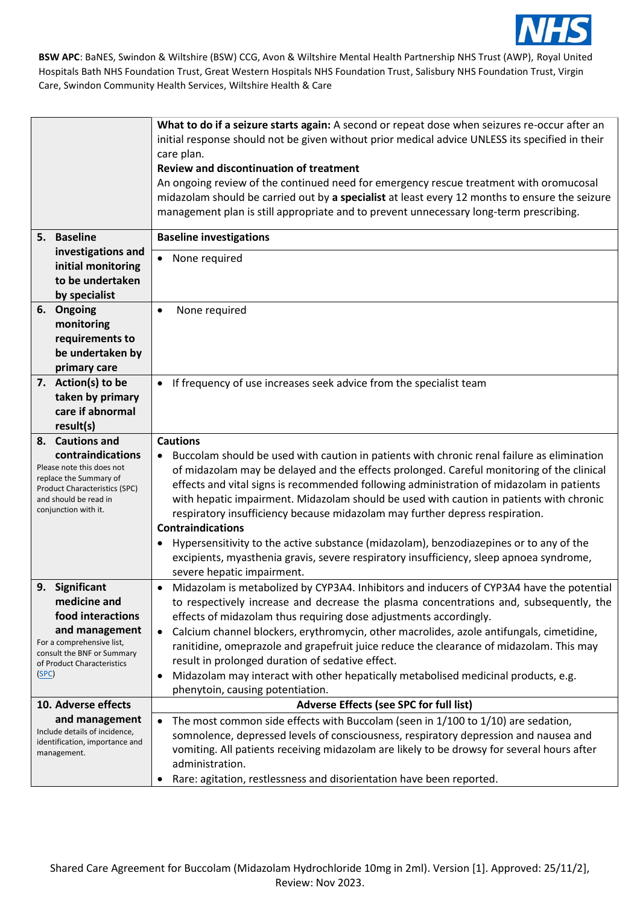

| 5. Baseline                                                      |                                                                                                                                              | What to do if a seizure starts again: A second or repeat dose when seizures re-occur after an<br>initial response should not be given without prior medical advice UNLESS its specified in their<br>care plan.<br><b>Review and discontinuation of treatment</b><br>An ongoing review of the continued need for emergency rescue treatment with oromucosal<br>midazolam should be carried out by a specialist at least every 12 months to ensure the seizure<br>management plan is still appropriate and to prevent unnecessary long-term prescribing.<br><b>Baseline investigations</b>                                                                                                                                                           |
|------------------------------------------------------------------|----------------------------------------------------------------------------------------------------------------------------------------------|----------------------------------------------------------------------------------------------------------------------------------------------------------------------------------------------------------------------------------------------------------------------------------------------------------------------------------------------------------------------------------------------------------------------------------------------------------------------------------------------------------------------------------------------------------------------------------------------------------------------------------------------------------------------------------------------------------------------------------------------------|
|                                                                  | investigations and<br>initial monitoring<br>to be undertaken<br>by specialist                                                                | None required<br>$\bullet$                                                                                                                                                                                                                                                                                                                                                                                                                                                                                                                                                                                                                                                                                                                         |
| 6. Ongoing                                                       | monitoring<br>requirements to<br>be undertaken by<br>primary care                                                                            | None required<br>$\bullet$                                                                                                                                                                                                                                                                                                                                                                                                                                                                                                                                                                                                                                                                                                                         |
| result(s)                                                        | 7. Action(s) to be<br>taken by primary<br>care if abnormal                                                                                   | If frequency of use increases seek advice from the specialist team<br>$\bullet$                                                                                                                                                                                                                                                                                                                                                                                                                                                                                                                                                                                                                                                                    |
| 8. Cautions and<br>and should be read in<br>conjunction with it. | contraindications<br>Please note this does not<br>replace the Summary of<br><b>Product Characteristics (SPC)</b>                             | <b>Cautions</b><br>Buccolam should be used with caution in patients with chronic renal failure as elimination<br>$\bullet$<br>of midazolam may be delayed and the effects prolonged. Careful monitoring of the clinical<br>effects and vital signs is recommended following administration of midazolam in patients<br>with hepatic impairment. Midazolam should be used with caution in patients with chronic<br>respiratory insufficiency because midazolam may further depress respiration.<br><b>Contraindications</b><br>Hypersensitivity to the active substance (midazolam), benzodiazepines or to any of the<br>٠<br>excipients, myasthenia gravis, severe respiratory insufficiency, sleep apnoea syndrome,<br>severe hepatic impairment. |
| 9. Significant<br>(SPC)                                          | medicine and<br>food interactions<br>and management<br>For a comprehensive list,<br>consult the BNF or Summary<br>of Product Characteristics | Midazolam is metabolized by CYP3A4. Inhibitors and inducers of CYP3A4 have the potential<br>$\bullet$<br>to respectively increase and decrease the plasma concentrations and, subsequently, the<br>effects of midazolam thus requiring dose adjustments accordingly.<br>Calcium channel blockers, erythromycin, other macrolides, azole antifungals, cimetidine,<br>$\bullet$<br>ranitidine, omeprazole and grapefruit juice reduce the clearance of midazolam. This may<br>result in prolonged duration of sedative effect.<br>Midazolam may interact with other hepatically metabolised medicinal products, e.g.<br>$\bullet$<br>phenytoin, causing potentiation.                                                                                |
|                                                                  | 10. Adverse effects                                                                                                                          | Adverse Effects (see SPC for full list)                                                                                                                                                                                                                                                                                                                                                                                                                                                                                                                                                                                                                                                                                                            |
| management.                                                      | and management<br>Include details of incidence,<br>identification, importance and                                                            | The most common side effects with Buccolam (seen in 1/100 to 1/10) are sedation,<br>$\bullet$<br>somnolence, depressed levels of consciousness, respiratory depression and nausea and<br>vomiting. All patients receiving midazolam are likely to be drowsy for several hours after<br>administration.<br>Rare: agitation, restlessness and disorientation have been reported.<br>٠                                                                                                                                                                                                                                                                                                                                                                |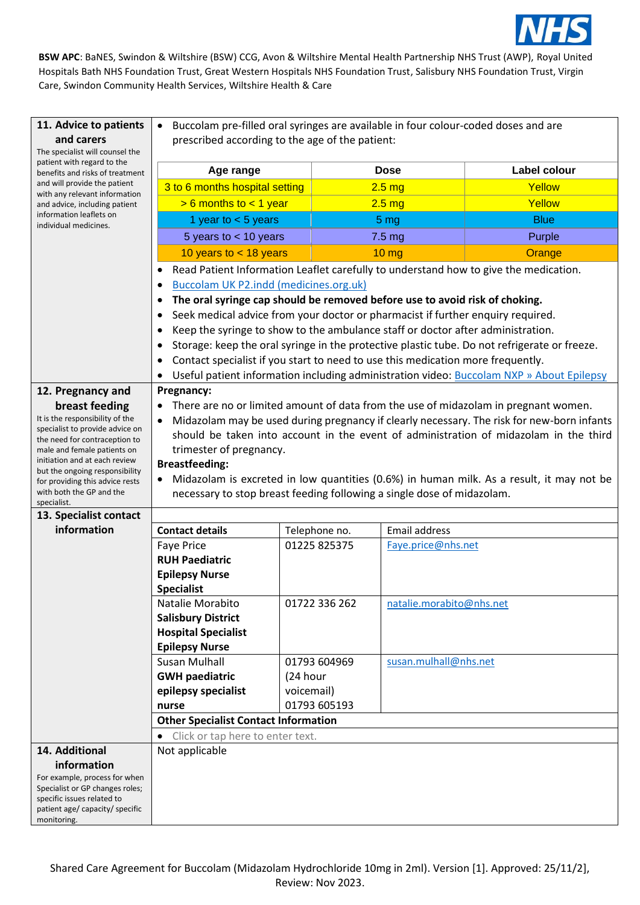

| 11. Advice to patients<br>and carers                                                          | Buccolam pre-filled oral syringes are available in four colour-coded doses and are<br>$\bullet$ |               |                          |                                                                                              |
|-----------------------------------------------------------------------------------------------|-------------------------------------------------------------------------------------------------|---------------|--------------------------|----------------------------------------------------------------------------------------------|
| The specialist will counsel the                                                               | prescribed according to the age of the patient:                                                 |               |                          |                                                                                              |
| patient with regard to the<br>benefits and risks of treatment<br>and will provide the patient | Age range                                                                                       |               | <b>Dose</b>              | Label colour                                                                                 |
|                                                                                               | 3 to 6 months hospital setting                                                                  |               | 2.5 <sub>mg</sub>        | Yellow                                                                                       |
| with any relevant information<br>and advice, including patient                                | $> 6$ months to $< 1$ year                                                                      |               | 2.5 <sub>mg</sub>        | Yellow                                                                                       |
| information leaflets on<br>individual medicines.                                              | 1 year to $<$ 5 years                                                                           |               | 5 <sub>mg</sub>          | <b>Blue</b>                                                                                  |
|                                                                                               | 5 years to $<$ 10 years                                                                         |               | 7.5 <sub>mg</sub>        | Purple                                                                                       |
|                                                                                               | 10 years to $<$ 18 years                                                                        |               | <b>10 mg</b>             | Orange                                                                                       |
|                                                                                               |                                                                                                 |               |                          | Read Patient Information Leaflet carefully to understand how to give the medication.         |
|                                                                                               | <b>Buccolam UK P2.indd (medicines.org.uk)</b>                                                   |               |                          |                                                                                              |
|                                                                                               | The oral syringe cap should be removed before use to avoid risk of choking.<br>٠                |               |                          |                                                                                              |
|                                                                                               | Seek medical advice from your doctor or pharmacist if further enquiry required.                 |               |                          |                                                                                              |
|                                                                                               | Keep the syringe to show to the ambulance staff or doctor after administration.                 |               |                          |                                                                                              |
|                                                                                               | ٠                                                                                               |               |                          | Storage: keep the oral syringe in the protective plastic tube. Do not refrigerate or freeze. |
|                                                                                               | Contact specialist if you start to need to use this medication more frequently.<br>٠            |               |                          |                                                                                              |
|                                                                                               |                                                                                                 |               |                          | Useful patient information including administration video: Buccolam NXP » About Epilepsy     |
| 12. Pregnancy and                                                                             | Pregnancy:                                                                                      |               |                          |                                                                                              |
| breast feeding                                                                                | There are no or limited amount of data from the use of midazolam in pregnant women.             |               |                          |                                                                                              |
| It is the responsibility of the<br>specialist to provide advice on                            |                                                                                                 |               |                          | Midazolam may be used during pregnancy if clearly necessary. The risk for new-born infants   |
| the need for contraception to                                                                 |                                                                                                 |               |                          | should be taken into account in the event of administration of midazolam in the third        |
| male and female patients on<br>initiation and at each review                                  | trimester of pregnancy.                                                                         |               |                          |                                                                                              |
| but the ongoing responsibility                                                                | <b>Breastfeeding:</b>                                                                           |               |                          | Midazolam is excreted in low quantities (0.6%) in human milk. As a result, it may not be     |
| for providing this advice rests<br>with both the GP and the                                   | necessary to stop breast feeding following a single dose of midazolam.                          |               |                          |                                                                                              |
| specialist.                                                                                   |                                                                                                 |               |                          |                                                                                              |
| 13. Specialist contact                                                                        |                                                                                                 |               |                          |                                                                                              |
| information                                                                                   | <b>Contact details</b>                                                                          | Telephone no. | <b>Email address</b>     |                                                                                              |
|                                                                                               | <b>Faye Price</b><br><b>RUH Paediatric</b>                                                      | 01225 825375  | Faye.price@nhs.net       |                                                                                              |
|                                                                                               | <b>Epilepsy Nurse</b>                                                                           |               |                          |                                                                                              |
|                                                                                               | <b>Specialist</b>                                                                               |               |                          |                                                                                              |
|                                                                                               | Natalie Morabito                                                                                | 01722 336 262 | natalie.morabito@nhs.net |                                                                                              |
|                                                                                               | <b>Salisbury District</b>                                                                       |               |                          |                                                                                              |
|                                                                                               | <b>Hospital Specialist</b>                                                                      |               |                          |                                                                                              |
|                                                                                               | <b>Epilepsy Nurse</b>                                                                           |               |                          |                                                                                              |
|                                                                                               | <b>Susan Mulhall</b>                                                                            | 01793 604969  | susan.mulhall@nhs.net    |                                                                                              |
|                                                                                               | <b>GWH paediatric</b>                                                                           | (24 hour      |                          |                                                                                              |
|                                                                                               | epilepsy specialist                                                                             | voicemail)    |                          |                                                                                              |
|                                                                                               | nurse                                                                                           | 01793 605193  |                          |                                                                                              |
|                                                                                               | <b>Other Specialist Contact Information</b>                                                     |               |                          |                                                                                              |
|                                                                                               | Click or tap here to enter text.                                                                |               |                          |                                                                                              |
| 14. Additional<br>information                                                                 | Not applicable                                                                                  |               |                          |                                                                                              |
| For example, process for when                                                                 |                                                                                                 |               |                          |                                                                                              |
| Specialist or GP changes roles;                                                               |                                                                                                 |               |                          |                                                                                              |
| specific issues related to<br>patient age/ capacity/ specific                                 |                                                                                                 |               |                          |                                                                                              |
| monitoring.                                                                                   |                                                                                                 |               |                          |                                                                                              |